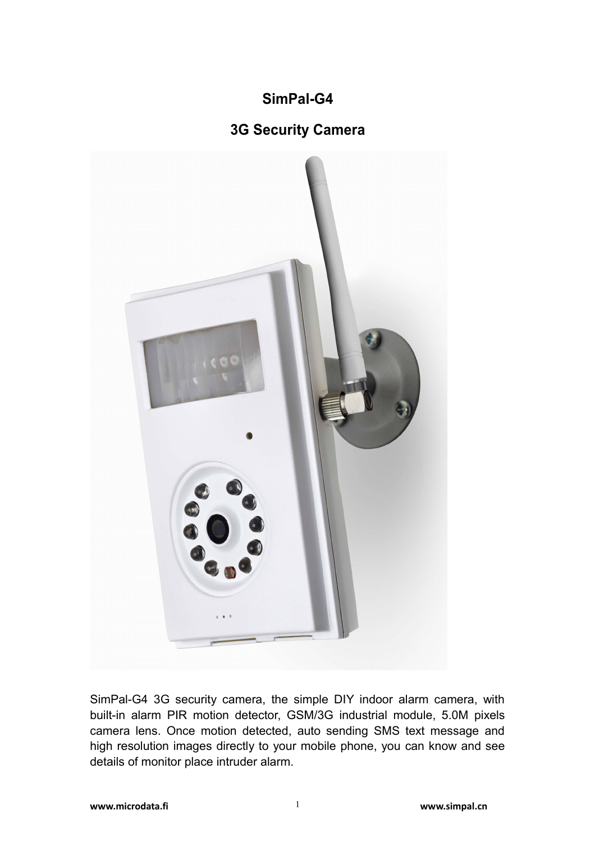# **SimPal-G4**

## **3G Security Camera**



SimPal-G4 3G security camera, the simple DIY indoor alarm camera, with built-in alarm PIR motion detector, GSM/3G industrial module, 5.0M pixels camera lens. Once motion detected, auto sending SMS text message and high resolution images directly to your mobile phone, you can know and see details of monitor place intruder alarm.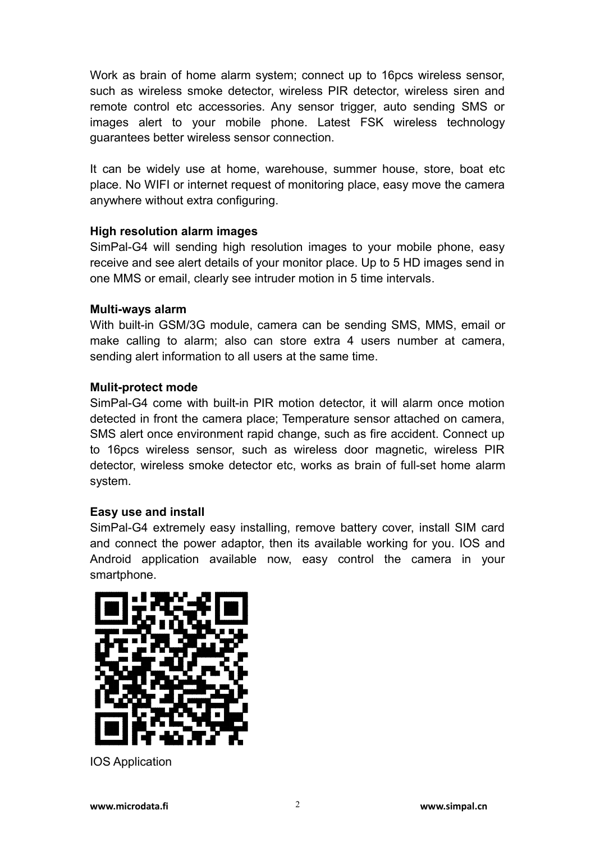Work as brain of home alarm system; connect up to 16pcs wireless sensor, such as wireless smoke detector, wireless PIR detector, wireless siren and remote control etc accessories. Any sensor trigger, auto sending SMS or images alert to your mobile phone. Latest FSK wireless technology guarantees better wireless sensor connection.

It can be widely use at home, warehouse, summer house, store, boat etc place. No WIFI or internet request of monitoring place, easy move the camera anywhere without extra configuring.

#### **High resolution alarm images**

SimPal-G4 will sending high resolution images to your mobile phone, easy receive and see alert details of your monitor place. Up to 5 HD images send in one MMS or email, clearly see intruder motion in 5 time intervals.

#### **Multi-ways alarm**

With built-in GSM/3G module, camera can be sending SMS, MMS, email or make calling to alarm; also can store extra 4 users number at camera, sending alert information to all users at the same time.

#### **Mulit-protect mode**

SimPal-G4 come with built-in PIR motion detector, it will alarm once motion detected in front the camera place; Temperature sensor attached on camera, SMS alert once environment rapid change, such as fire accident. Connect up to 16pcs wireless sensor, such as wireless door magnetic, wireless PIR detector, wireless smoke detector etc, works as brain of full-set home alarm system.

#### **Easy use and install**

SimPal-G4 extremely easy installing, remove battery cover, install SIM card and connect the power adaptor, then its available working for you. IOS and Android application available now, easy control the camera in your smartphone.



IOS Application